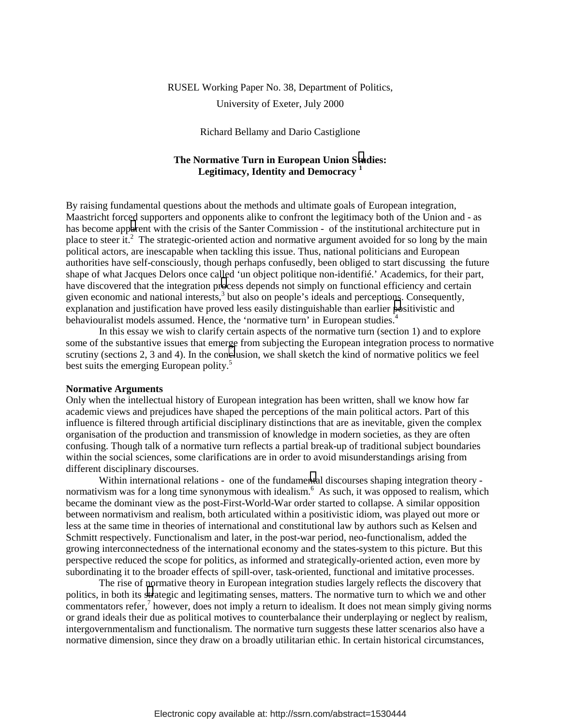# RUSEL Working Paper No. 38, Department of Politics, University of Exeter, July 2000

Richard Bellamy and Dario Castiglione

## **The Normative Turn in European Union S[tu](#page-11-0)dies: Legitimacy, Identity and Democracy <sup>1</sup>**

By raising fundamental questions about the methods and ultimate goals of European integration, Maastricht forced supporters and opponents alike to confront the legitimacy both of the Union and - as has become app[ar](#page-11-0)ent with the crisis of the Santer Commission - of the institutional architecture put in place to steer it.<sup>2</sup> The strategic-oriented action and normative argument avoided for so long by the main political actors, are inescapable when tackling this issue. Thus, national politicians and European authorities have self-consciously, though perhaps confusedly, been obliged to start discussing the future shape of what Jacques Delors once called 'un object politique non-identifié.' Academics, for their part, have discovered that the integration pr[o](#page-11-0)cess depends not simply on functional efficiency and certain given economic and national interests,<sup>3</sup> but also on people's ideals and perceptions. Consequently, explanation and justification have proved less easily distinguishable than earlier [po](#page-11-0)sitivistic and behaviouralist models assumed. Hence, the 'normative turn' in European studies.<sup>4</sup>

In this essay we wish to clarify certain aspects of the normative turn (section 1) and to explore some of the substantive issues that emerge from subjecting the European integration process to normative scrutiny (sections 2, 3 and 4). In the con[cl](#page-11-0)usion, we shall sketch the kind of normative politics we feel best suits the emerging European polity.<sup>5</sup>

#### **Normative Arguments**

Only when the intellectual history of European integration has been written, shall we know how far academic views and prejudices have shaped the perceptions of the main political actors. Part of this influence is filtered through artificial disciplinary distinctions that are as inevitable, given the complex organisation of the production and transmission of knowledge in modern societies, as they are often confusing. Though talk of a normative turn reflects a partial break-up of traditional subject boundaries within the social sciences, some clarifications are in order to avoid misunderstandings arising from different disciplinary discourses.

Within international relations - one of the fundame[nta](#page-11-0)l discourses shaping integration theory normativism was for a long time synonymous with idealism.<sup>6</sup> As such, it was opposed to realism, which became the dominant view as the post-First-World-War order started to collapse. A similar opposition between normativism and realism, both articulated within a positivistic idiom, was played out more or less at the same time in theories of international and constitutional law by authors such as Kelsen and Schmitt respectively. Functionalism and later, in the post-war period, neo-functionalism, added the growing interconnectedness of the international economy and the states-system to this picture. But this perspective reduced the scope for politics, as informed and strategically-oriented action, even more by subordinating it to the broader effects of spill-over, task-oriented, functional and imitative processes.

The rise of normative theory in European integration studies largely reflects the discovery that politics, in both its [str](#page-11-0)ategic and legitimating senses, matters. The normative turn to which we and other commentators refer, $\frac{7}{1}$  however, does not imply a return to idealism. It does not mean simply giving norms or grand ideals their due as political motives to counterbalance their underplaying or neglect by realism, intergovernmentalism and functionalism. The normative turn suggests these latter scenarios also have a normative dimension, since they draw on a broadly utilitarian ethic. In certain historical circumstances,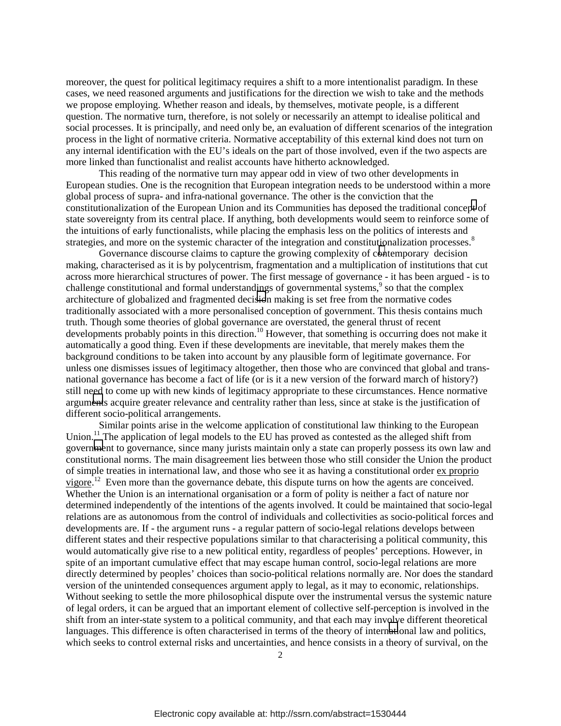moreover, the quest for political legitimacy requires a shift to a more intentionalist paradigm. In these cases, we need reasoned arguments and justifications for the direction we wish to take and the methods we propose employing. Whether reason and ideals, by themselves, motivate people, is a different question. The normative turn, therefore, is not solely or necessarily an attempt to idealise political and social processes. It is principally, and need only be, an evaluation of different scenarios of the integration process in the light of normative criteria. Normative acceptability of this external kind does not turn on any internal identification with the EU's ideals on the part of those involved, even if the two aspects are more linked than functionalist and realist accounts have hitherto acknowledged.

This reading of the normative turn may appear odd in view of two other developments in European studies. One is the recognition that European integration needs to be understood within a more global process of supra- and infra-national governance. The other is the conviction that the constitutionalization of the European Union and its Communities has deposed the traditional conce[pt](#page-11-0) of state sovereignty from its central place. If anything, both developments would seem to reinforce some of the intuitions of early functionalists, while placing the emphasis less on the politics of interests and strategies, and more on the systemic character of the integration and constitutionalization processes.<sup>8</sup>

Governance discourse claims to capture the growing complexity of c[on](#page-11-0)temporary decision making, characterised as it is by polycentrism, fragmentation and a multiplication of institutions that cut across more hierarchical structures of power. The first message of governance - it has been argued - is to challenge constitutional and formal understandings of governmental systems,<sup>9</sup> so that the complex architecture of globalized and fragmented deci[sio](#page-11-0)n making is set free from the normative codes traditionally associated with a more personalised conception of government. This thesis contains much truth. Though some theories of global governance are overstated, the general thrust of recent developments probably points in this direction.<sup>10</sup> However, that something is occurring does not make it automatically a good thing. Even if these developments are inevitable, that merely makes them the background conditions to be taken into account by any plausible form of legitimate governance. For unless one dismisses issues of legitimacy altogether, then those who are convinced that global and transnational governance has become a fact of life (or is it a new version of the forward march of history?) still need to come up with new kinds of legitimacy appropriate to these circumstances. Hence normative argum[ent](#page-11-0)s acquire greater relevance and centrality rather than less, since at stake is the justification of different socio-political arrangements.

Similar points arise in the welcome application of constitutional law thinking to the European Union.<sup>11</sup> The application of legal models to the EU has proved as contested as the alleged shift from govern[me](#page-11-0)nt to governance, since many jurists maintain only a state can properly possess its own law and constitutional norms. The main disagreement lies between those who still consider the Union the product of simple treaties in international law, and those who see it as having a constitutional order ex proprio vigore.<sup>12</sup> Even more than the governance debate, this dispute turns on how the agents are conceived. Whether the Union is an international organisation or a form of polity is neither a fact of nature nor determined independently of the intentions of the agents involved. It could be maintained that socio-legal relations are as autonomous from the control of individuals and collectivities as socio-political forces and developments are. If - the argument runs - a regular pattern of socio-legal relations develops between different states and their respective populations similar to that characterising a political community, this would automatically give rise to a new political entity, regardless of peoples' perceptions. However, in spite of an important cumulative effect that may escape human control, socio-legal relations are more directly determined by peoples' choices than socio-political relations normally are. Nor does the standard version of the unintended consequences argument apply to legal, as it may to economic, relationships. Without seeking to settle the more philosophical dispute over the instrumental versus the systemic nature of legal orders, it can be argued that an important element of collective self-perception is involved in the shift from an inter-state system to a political community, and that each may involve different theoretical languages. This difference is often characterised in terms of the theory of intern[ati](#page-11-0)onal law and politics, which seeks to control external risks and uncertainties, and hence consists in a theory of survival, on the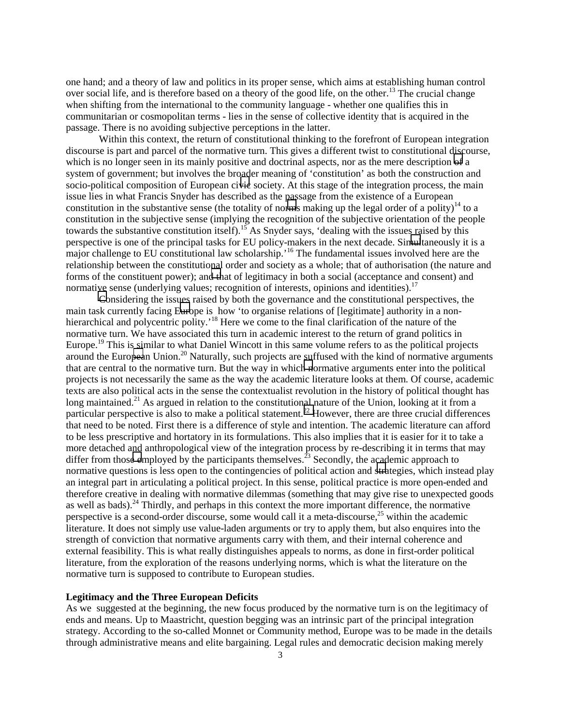one hand; and a theory of law and politics in its proper sense, which aims at establishing human control over social life, and is therefore based on a theory of the good life, on the other.<sup>13</sup> The crucial change when shifting from the international to the community language - whether one qualifies this in communitarian or cosmopolitan terms - lies in the sense of collective identity that is acquired in the passage. There is no avoiding subjective perceptions in the latter.

Within this context, the return of constitutional thinking to the forefront of European integration discourse is part and parcel of the normative turn. This gives a different twist to constitutional discourse, which is no longer seen in its mainly positive and doctrinal aspects, nor as the mere description [of](#page-11-0) a system of government; but involves the broader meaning of 'constitution' as both the construction and socio-political composition of European ci[vic](#page-11-0) society. At this stage of the integration process, the main issue lies in what Francis Snyder has described as the passage from the existence of a European constitution in the substantive sense (the totality of no[rm](#page-11-0)s making up the legal order of a polity)<sup>14</sup> to a constitution in the subjective sense (implying the recognition of the subjective orientation of the people towards the substantive constitution itself).<sup>15</sup> As Snyder says, 'dealing with the issues raised by this perspective is one of the principal tasks for EU policy-makers in the next decade. Si[mul](#page-11-0)taneously it is a major challenge to EU constitutional law scholarship.<sup>16</sup> The fundamental issues involved here are the relationship between the constitutional order and society as a whole; that of authorisation (the nature and forms of the constituent power); an[d th](#page-11-0)at of legitimacy in both a social (acceptance and consent) and normative sense (underlying values; recognition of interests, opinions and identities).<sup>17</sup>

[Co](#page-11-0)nsidering the issues raised by both the governance and the constitutional perspectives, the main task currently facing E[uro](#page-11-0)pe is how 'to organise relations of [legitimate] authority in a nonhierarchical and polycentric polity.<sup>18</sup> Here we come to the final clarification of the nature of the normative turn. We have associated this turn in academic interest to the return of grand politics in Europe.<sup>19</sup> This is similar to what Daniel Wincott in this same volume refers to as the political projects around the Euro[pea](#page-11-0)n Union.<sup>20</sup> Naturally, such projects are suffused with the kind of normative arguments that are central to the normative turn. But the way in whic[h n](#page-11-0)ormative arguments enter into the political projects is not necessarily the same as the way the academic literature looks at them. Of course, academic texts are also political acts in the sense the contextualist revolution in the history of political thought has long maintained.<sup>21</sup> As argued in relation to the constitutional nature of the Union, looking at it from a particular perspective is also to make a political statement.<sup>22</sup> However, there are three crucial differences that need to be noted. First there is a difference of style and intention. The academic literature can afford to be less prescriptive and hortatory in its formulations. This also implies that it is easier for it to take a more detached and anthropological view of the integration process by re-describing it in terms that may differ from thos[e e](#page-11-0)mployed by the participants themselves.<sup>23</sup> Secondly, the academic approach to normative questions is less open to the contingencies of political action and [stra](#page-11-0)tegies, which instead play an integral part in articulating a political project. In this sense, political practice is more open-ended and therefore creative in dealing with normative dilemmas (something that may give rise to unexpected goods as well as bads).<sup>24</sup> Thirdly, and perhaps in this context the more important difference, the normative perspective is a second-order discourse, some would call it a meta-discourse,<sup>25</sup> within the academic literature. It does not simply use value-laden arguments or try to apply them, but also enquires into the strength of conviction that normative arguments carry with them, and their internal coherence and external feasibility. This is what really distinguishes appeals to norms, as done in first-order political literature, from the exploration of the reasons underlying norms, which is what the literature on the normative turn is supposed to contribute to European studies.

# **Legitimacy and the Three European Deficits**

As we suggested at the beginning, the new focus produced by the normative turn is on the legitimacy of ends and means. Up to Maastricht, question begging was an intrinsic part of the principal integration strategy. According to the so-called Monnet or Community method, Europe was to be made in the details through administrative means and elite bargaining. Legal rules and democratic decision making merely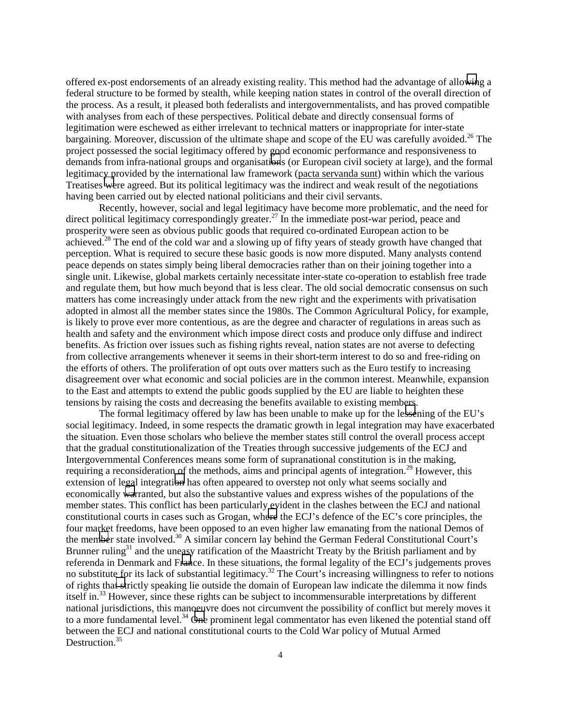offered ex-post endorsements of an already existing reality. This method had the advantage of allo[win](#page-11-0)g a federal structure to be formed by stealth, while keeping nation states in control of the overall direction of the process. As a result, it pleased both federalists and intergovernmentalists, and has proved compatible with analyses from each of these perspectives. Political debate and directly consensual forms of legitimation were eschewed as either irrelevant to technical matters or inappropriate for inter-state bargaining. Moreover, discussion of the ultimate shape and scope of the EU was carefully avoided.<sup>26</sup> The project possessed the social legitimacy offered by good economic performance and responsiveness to demands from infra-national groups and organisat[ion](#page-11-0)s (or European civil society at large), and the formal legitimacy provided by the international law framework (pacta servanda sunt) within which the various Treatises [we](#page-11-0)re agreed. But its political legitimacy was the indirect and weak result of the negotiations having been carried out by elected national politicians and their civil servants.

Recently, however, social and legal legitimacy have become more problematic, and the need for direct political legitimacy correspondingly greater.<sup>27</sup> In the immediate post-war period, peace and prosperity were seen as obvious public goods that required co-ordinated European action to be achieved.<sup>28</sup> The end of the cold war and a slowing up of fifty years of steady growth have changed that perception. What is required to secure these basic goods is now more disputed. Many analysts contend peace depends on states simply being liberal democracies rather than on their joining together into a single unit. Likewise, global markets certainly necessitate inter-state co-operation to establish free trade and regulate them, but how much beyond that is less clear. The old social democratic consensus on such matters has come increasingly under attack from the new right and the experiments with privatisation adopted in almost all the member states since the 1980s. The Common Agricultural Policy, for example, is likely to prove ever more contentious, as are the degree and character of regulations in areas such as health and safety and the environment which impose direct costs and produce only diffuse and indirect benefits. As friction over issues such as fishing rights reveal, nation states are not averse to defecting from collective arrangements whenever it seems in their short-term interest to do so and free-riding on the efforts of others. The proliferation of opt outs over matters such as the Euro testify to increasing disagreement over what economic and social policies are in the common interest. Meanwhile, expansion to the East and attempts to extend the public goods supplied by the EU are liable to heighten these tensions by raising the costs and decreasing the benefits available to existing members.

The formal legitimacy offered by law has been unable to make up for the le[sse](#page-11-0)ning of the EU's social legitimacy. Indeed, in some respects the dramatic growth in legal integration may have exacerbated the situation. Even those scholars who believe the member states still control the overall process accept that the gradual constitutionalization of the Treaties through successive judgements of the ECJ and Intergovernmental Conferences means some form of supranational constitution is in the making, requiring a reconsideration of the methods, aims and principal agents of integration.<sup>29</sup> However, this extension of legal integrati[on](#page-11-0) has often appeared to overstep not only what seems socially and economically [wa](#page-11-0)rranted, but also the substantive values and express wishes of the populations of the member states. This conflict has been particularly evident in the clashes between the ECJ and national constitutional courts in cases such as Grogan, wh[ere](#page-11-0) the ECJ's defence of the EC's core principles, the four market freedoms, have been opposed to an even higher law emanating from the national Demos of the me[mbe](#page-11-0)r state involved.<sup>30</sup> A similar concern lay behind the German Federal Constitutional Court's Brunner ruling<sup>31</sup> and the uneasy ratification of the Maastricht Treaty by the British parliament and by referenda in Denmark and F[ran](#page-11-0)ce. In these situations, the formal legality of the ECJ's judgements proves no substitute for its lack of substantial legitimacy.32 The Court's increasing willingness to refer to notions of rights tha[t st](#page-11-0)rictly speaking lie outside the domain of European law indicate the dilemma it now finds itself in.33 However, since these rights can be subject to incommensurable interpretations by different national jurisdictions, this manoeuvre does not circumvent the possibility of conflict but merely moves it to a more fundamental level.<sup>34</sup> [One](#page-11-0) prominent legal commentator has even likened the potential stand off between the ECJ and national constitutional courts to the Cold War policy of Mutual Armed Destruction.<sup>35</sup>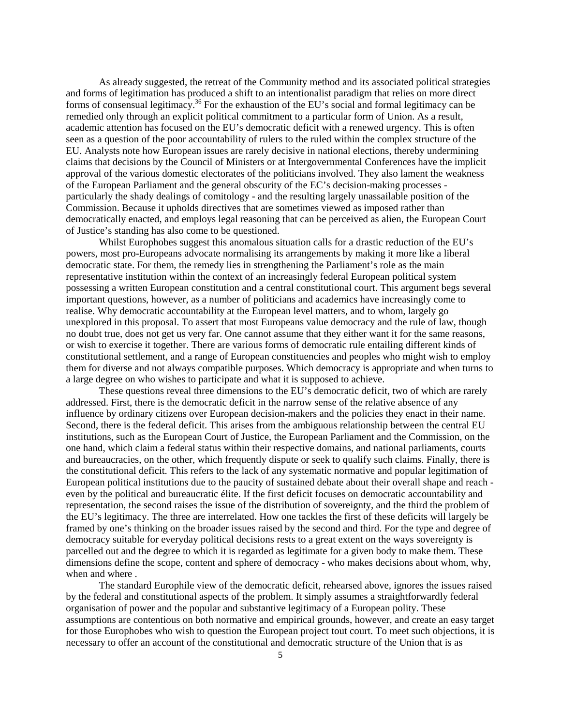As already suggested, the retreat of the Community method and its associated political strategies and forms of legitimation has produced a shift to an intentionalist paradigm that relies on more direct forms of consensual legitimacy.36 For the exhaustion of the EU's social and formal legitimacy can be remedied only through an explicit political commitment to a particular form of Union. As a result, academic attention has focused on the EU's democratic deficit with a renewed urgency. This is often seen as a question of the poor accountability of rulers to the ruled within the complex structure of the EU. Analysts note how European issues are rarely decisive in national elections, thereby undermining claims that decisions by the Council of Ministers or at Intergovernmental Conferences have the implicit approval of the various domestic electorates of the politicians involved. They also lament the weakness of the European Parliament and the general obscurity of the EC's decision-making processes particularly the shady dealings of comitology - and the resulting largely unassailable position of the Commission. Because it upholds directives that are sometimes viewed as imposed rather than democratically enacted, and employs legal reasoning that can be perceived as alien, the European Court of Justice's standing has also come to be questioned.

Whilst Europhobes suggest this anomalous situation calls for a drastic reduction of the EU's powers, most pro-Europeans advocate normalising its arrangements by making it more like a liberal democratic state. For them, the remedy lies in strengthening the Parliament's role as the main representative institution within the context of an increasingly federal European political system possessing a written European constitution and a central constitutional court. This argument begs several important questions, however, as a number of politicians and academics have increasingly come to realise. Why democratic accountability at the European level matters, and to whom, largely go unexplored in this proposal. To assert that most Europeans value democracy and the rule of law, though no doubt true, does not get us very far. One cannot assume that they either want it for the same reasons, or wish to exercise it together. There are various forms of democratic rule entailing different kinds of constitutional settlement, and a range of European constituencies and peoples who might wish to employ them for diverse and not always compatible purposes. Which democracy is appropriate and when turns to a large degree on who wishes to participate and what it is supposed to achieve.

These questions reveal three dimensions to the EU's democratic deficit, two of which are rarely addressed. First, there is the democratic deficit in the narrow sense of the relative absence of any influence by ordinary citizens over European decision-makers and the policies they enact in their name. Second, there is the federal deficit. This arises from the ambiguous relationship between the central EU institutions, such as the European Court of Justice, the European Parliament and the Commission, on the one hand, which claim a federal status within their respective domains, and national parliaments, courts and bureaucracies, on the other, which frequently dispute or seek to qualify such claims. Finally, there is the constitutional deficit. This refers to the lack of any systematic normative and popular legitimation of European political institutions due to the paucity of sustained debate about their overall shape and reach even by the political and bureaucratic élite. If the first deficit focuses on democratic accountability and representation, the second raises the issue of the distribution of sovereignty, and the third the problem of the EU's legitimacy. The three are interrelated. How one tackles the first of these deficits will largely be framed by one's thinking on the broader issues raised by the second and third. For the type and degree of democracy suitable for everyday political decisions rests to a great extent on the ways sovereignty is parcelled out and the degree to which it is regarded as legitimate for a given body to make them. These dimensions define the scope, content and sphere of democracy - who makes decisions about whom, why, when and where .

The standard Europhile view of the democratic deficit, rehearsed above, ignores the issues raised by the federal and constitutional aspects of the problem. It simply assumes a straightforwardly federal organisation of power and the popular and substantive legitimacy of a European polity. These assumptions are contentious on both normative and empirical grounds, however, and create an easy target for those Europhobes who wish to question the European project tout court. To meet such objections, it is necessary to offer an account of the constitutional and democratic structure of the Union that is as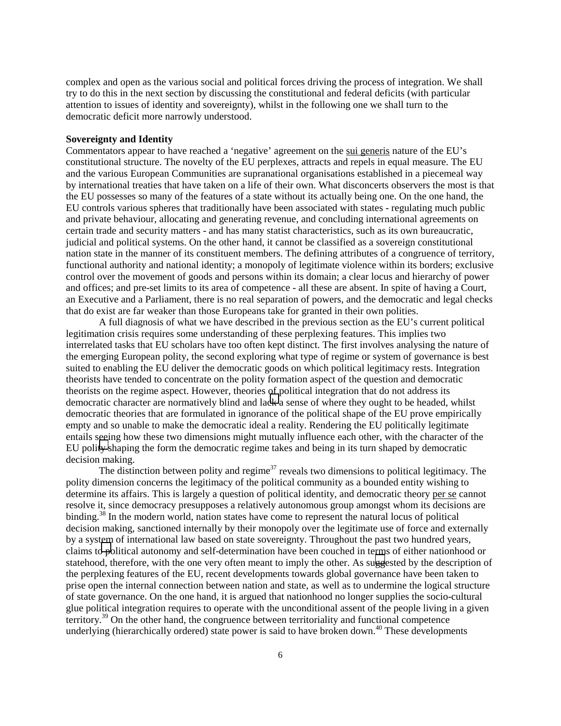complex and open as the various social and political forces driving the process of integration. We shall try to do this in the next section by discussing the constitutional and federal deficits (with particular attention to issues of identity and sovereignty), whilst in the following one we shall turn to the democratic deficit more narrowly understood.

#### **Sovereignty and Identity**

Commentators appear to have reached a 'negative' agreement on the sui generis nature of the EU's constitutional structure. The novelty of the EU perplexes, attracts and repels in equal measure. The EU and the various European Communities are supranational organisations established in a piecemeal way by international treaties that have taken on a life of their own. What disconcerts observers the most is that the EU possesses so many of the features of a state without its actually being one. On the one hand, the EU controls various spheres that traditionally have been associated with states - regulating much public and private behaviour, allocating and generating revenue, and concluding international agreements on certain trade and security matters - and has many statist characteristics, such as its own bureaucratic, judicial and political systems. On the other hand, it cannot be classified as a sovereign constitutional nation state in the manner of its constituent members. The defining attributes of a congruence of territory, functional authority and national identity; a monopoly of legitimate violence within its borders; exclusive control over the movement of goods and persons within its domain; a clear locus and hierarchy of power and offices; and pre-set limits to its area of competence - all these are absent. In spite of having a Court, an Executive and a Parliament, there is no real separation of powers, and the democratic and legal checks that do exist are far weaker than those Europeans take for granted in their own polities.

A full diagnosis of what we have described in the previous section as the EU's current political legitimation crisis requires some understanding of these perplexing features. This implies two interrelated tasks that EU scholars have too often kept distinct. The first involves analysing the nature of the emerging European polity, the second exploring what type of regime or system of governance is best suited to enabling the EU deliver the democratic goods on which political legitimacy rests. Integration theorists have tended to concentrate on the polity formation aspect of the question and democratic theorists on the regime aspect. However, theories of political integration that do not address its democratic character are normatively blind and la[ck](#page-11-0) a sense of where they ought to be headed, whilst democratic theories that are formulated in ignorance of the political shape of the EU prove empirically empty and so unable to make the democratic ideal a reality. Rendering the EU politically legitimate entails seeing how these two dimensions might mutually influence each other, with the character of the EU poli[ty s](#page-11-0)haping the form the democratic regime takes and being in its turn shaped by democratic decision making.

The distinction between polity and regime<sup>37</sup> reveals two dimensions to political legitimacy. The polity dimension concerns the legitimacy of the political community as a bounded entity wishing to determine its affairs. This is largely a question of political identity, and democratic theory per se cannot resolve it, since democracy presupposes a relatively autonomous group amongst whom its decisions are binding.<sup>38</sup> In the modern world, nation states have come to represent the natural locus of political decision making, sanctioned internally by their monopoly over the legitimate use of force and externally by a system of international law based on state sovereignty. Throughout the past two hundred years, claims t[o po](#page-11-0)litical autonomy and self-determination have been couched in terms of either nationhood or statehood, therefore, with the one very often meant to imply the other. As su[gg](#page-11-0)ested by the description of the perplexing features of the EU, recent developments towards global governance have been taken to prise open the internal connection between nation and state, as well as to undermine the logical structure of state governance. On the one hand, it is argued that nationhood no longer supplies the socio-cultural glue political integration requires to operate with the unconditional assent of the people living in a given territory.<sup>39</sup> On the other hand, the congruence between territoriality and functional competence underlying (hierarchically ordered) state power is said to have broken down.<sup>40</sup> These developments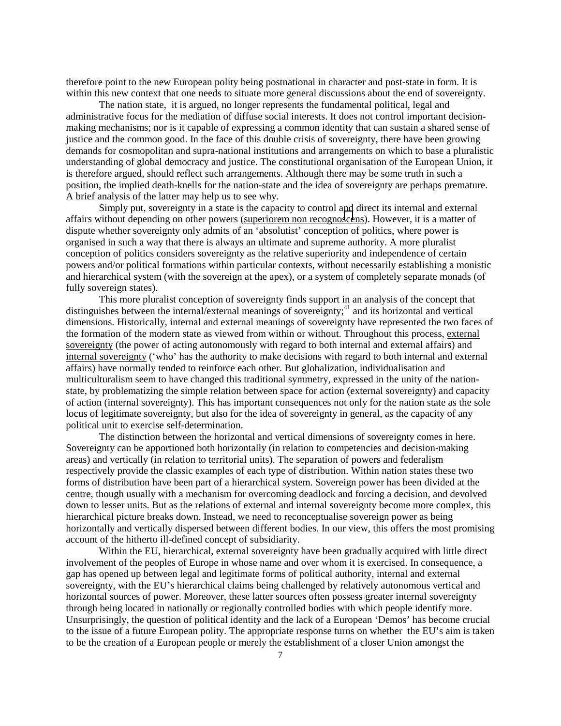therefore point to the new European polity being postnational in character and post-state in form. It is within this new context that one needs to situate more general discussions about the end of sovereignty.

The nation state, it is argued, no longer represents the fundamental political, legal and administrative focus for the mediation of diffuse social interests. It does not control important decisionmaking mechanisms; nor is it capable of expressing a common identity that can sustain a shared sense of justice and the common good. In the face of this double crisis of sovereignty, there have been growing demands for cosmopolitan and supra-national institutions and arrangements on which to base a pluralistic understanding of global democracy and justice. The constitutional organisation of the European Union, it is therefore argued, should reflect such arrangements. Although there may be some truth in such a position, the implied death-knells for the nation-state and the idea of sovereignty are perhaps premature. A brief analysis of the latter may help us to see why.

Simply put, sovereignty in a state is the capacity to control and direct its internal and external affairs without depending on other powers (superiorem non recogno[sce](#page-11-0)ns). However, it is a matter of dispute whether sovereignty only admits of an 'absolutist' conception of politics, where power is organised in such a way that there is always an ultimate and supreme authority. A more pluralist conception of politics considers sovereignty as the relative superiority and independence of certain powers and/or political formations within particular contexts, without necessarily establishing a monistic and hierarchical system (with the sovereign at the apex), or a system of completely separate monads (of fully sovereign states).

This more pluralist conception of sovereignty finds support in an analysis of the concept that distinguishes between the internal/external meanings of sovereignty;<sup>41</sup> and its horizontal and vertical dimensions. Historically, internal and external meanings of sovereignty have represented the two faces of the formation of the modern state as viewed from within or without. Throughout this process, external sovereignty (the power of acting autonomously with regard to both internal and external affairs) and internal sovereignty ('who' has the authority to make decisions with regard to both internal and external affairs) have normally tended to reinforce each other. But globalization, individualisation and multiculturalism seem to have changed this traditional symmetry, expressed in the unity of the nationstate, by problematizing the simple relation between space for action (external sovereignty) and capacity of action (internal sovereignty). This has important consequences not only for the nation state as the sole locus of legitimate sovereignty, but also for the idea of sovereignty in general, as the capacity of any political unit to exercise self-determination.

The distinction between the horizontal and vertical dimensions of sovereignty comes in here. Sovereignty can be apportioned both horizontally (in relation to competencies and decision-making areas) and vertically (in relation to territorial units). The separation of powers and federalism respectively provide the classic examples of each type of distribution. Within nation states these two forms of distribution have been part of a hierarchical system. Sovereign power has been divided at the centre, though usually with a mechanism for overcoming deadlock and forcing a decision, and devolved down to lesser units. But as the relations of external and internal sovereignty become more complex, this hierarchical picture breaks down. Instead, we need to reconceptualise sovereign power as being horizontally and vertically dispersed between different bodies. In our view, this offers the most promising account of the hitherto ill-defined concept of subsidiarity.

Within the EU, hierarchical, external sovereignty have been gradually acquired with little direct involvement of the peoples of Europe in whose name and over whom it is exercised. In consequence, a gap has opened up between legal and legitimate forms of political authority, internal and external sovereignty, with the EU's hierarchical claims being challenged by relatively autonomous vertical and horizontal sources of power. Moreover, these latter sources often possess greater internal sovereignty through being located in nationally or regionally controlled bodies with which people identify more. Unsurprisingly, the question of political identity and the lack of a European 'Demos' has become crucial to the issue of a future European polity. The appropriate response turns on whether the EU's aim is taken to be the creation of a European people or merely the establishment of a closer Union amongst the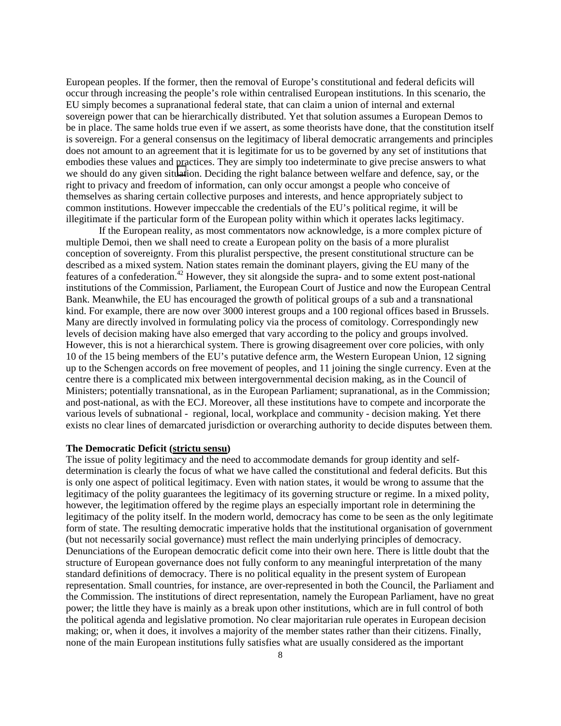European peoples. If the former, then the removal of Europe's constitutional and federal deficits will occur through increasing the people's role within centralised European institutions. In this scenario, the EU simply becomes a supranational federal state, that can claim a union of internal and external sovereign power that can be hierarchically distributed. Yet that solution assumes a European Demos to be in place. The same holds true even if we assert, as some theorists have done, that the constitution itself is sovereign. For a general consensus on the legitimacy of liberal democratic arrangements and principles does not amount to an agreement that it is legitimate for us to be governed by any set of institutions that embodies these values and practices. They are simply too indeterminate to give precise answers to what we should do any given sit[uat](#page-11-0)ion. Deciding the right balance between welfare and defence, say, or the right to privacy and freedom of information, can only occur amongst a people who conceive of themselves as sharing certain collective purposes and interests, and hence appropriately subject to common institutions. However impeccable the credentials of the EU's political regime, it will be illegitimate if the particular form of the European polity within which it operates lacks legitimacy.

If the European reality, as most commentators now acknowledge, is a more complex picture of multiple Demoi, then we shall need to create a European polity on the basis of a more pluralist conception of sovereignty. From this pluralist perspective, the present constitutional structure can be described as a mixed system. Nation states remain the dominant players, giving the EU many of the features of a confederation.42 However, they sit alongside the supra- and to some extent post-national institutions of the Commission, Parliament, the European Court of Justice and now the European Central Bank. Meanwhile, the EU has encouraged the growth of political groups of a sub and a transnational kind. For example, there are now over 3000 interest groups and a 100 regional offices based in Brussels. Many are directly involved in formulating policy via the process of comitology. Correspondingly new levels of decision making have also emerged that vary according to the policy and groups involved. However, this is not a hierarchical system. There is growing disagreement over core policies, with only 10 of the 15 being members of the EU's putative defence arm, the Western European Union, 12 signing up to the Schengen accords on free movement of peoples, and 11 joining the single currency. Even at the centre there is a complicated mix between intergovernmental decision making, as in the Council of Ministers; potentially transnational, as in the European Parliament; supranational, as in the Commission; and post-national, as with the ECJ. Moreover, all these institutions have to compete and incorporate the various levels of subnational - regional, local, workplace and community - decision making. Yet there exists no clear lines of demarcated jurisdiction or overarching authority to decide disputes between them.

### **The Democratic Deficit (strictu sensu)**

The issue of polity legitimacy and the need to accommodate demands for group identity and selfdetermination is clearly the focus of what we have called the constitutional and federal deficits. But this is only one aspect of political legitimacy. Even with nation states, it would be wrong to assume that the legitimacy of the polity guarantees the legitimacy of its governing structure or regime. In a mixed polity, however, the legitimation offered by the regime plays an especially important role in determining the legitimacy of the polity itself. In the modern world, democracy has come to be seen as the only legitimate form of state. The resulting democratic imperative holds that the institutional organisation of government (but not necessarily social governance) must reflect the main underlying principles of democracy. Denunciations of the European democratic deficit come into their own here. There is little doubt that the structure of European governance does not fully conform to any meaningful interpretation of the many standard definitions of democracy. There is no political equality in the present system of European representation. Small countries, for instance, are over-represented in both the Council, the Parliament and the Commission. The institutions of direct representation, namely the European Parliament, have no great power; the little they have is mainly as a break upon other institutions, which are in full control of both the political agenda and legislative promotion. No clear majoritarian rule operates in European decision making; or, when it does, it involves a majority of the member states rather than their citizens. Finally, none of the main European institutions fully satisfies what are usually considered as the important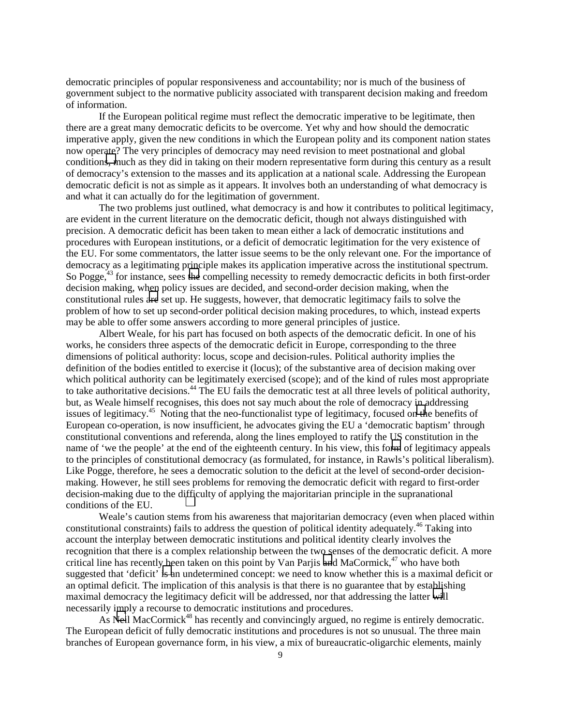democratic principles of popular responsiveness and accountability; nor is much of the business of government subject to the normative publicity associated with transparent decision making and freedom of information.

If the European political regime must reflect the democratic imperative to be legitimate, then there are a great many democratic deficits to be overcome. Yet why and how should the democratic imperative apply, given the new conditions in which the European polity and its component nation states now operate? The very principles of democracy may need revision to meet postnational and global condition[s, m](#page-11-0)uch as they did in taking on their modern representative form during this century as a result of democracy's extension to the masses and its application at a national scale. Addressing the European democratic deficit is not as simple as it appears. It involves both an understanding of what democracy is and what it can actually do for the legitimation of government.

The two problems just outlined, what democracy is and how it contributes to political legitimacy, are evident in the current literature on the democratic deficit, though not always distinguished with precision. A democratic deficit has been taken to mean either a lack of democratic institutions and procedures with European institutions, or a deficit of democratic legitimation for the very existence of the EU. For some commentators, the latter issue seems to be the only relevant one. For the importance of democracy as a legitimating principle makes its application imperative across the institutional spectrum. So Pogge, $43$  for instance, sees [the](#page-11-0) compelling necessity to remedy democractic deficits in both first-order decision making, when policy issues are decided, and second-order decision making, when the constitutional rules [are](#page-11-0) set up. He suggests, however, that democratic legitimacy fails to solve the problem of how to set up second-order political decision making procedures, to which, instead experts may be able to offer some answers according to more general principles of justice.

Albert Weale, for his part has focused on both aspects of the democratic deficit. In one of his works, he considers three aspects of the democratic deficit in Europe, corresponding to the three dimensions of political authority: locus, scope and decision-rules. Political authority implies the definition of the bodies entitled to exercise it (locus); of the substantive area of decision making over which political authority can be legitimately exercised (scope); and of the kind of rules most appropriate to take authoritative decisions.<sup>44</sup> The EU fails the democratic test at all three levels of political authority, but, as Weale himself recognises, this does not say much about the role of democracy in addressing issues of legitimacy.45 Noting that the neo-functionalist type of legitimacy, focused o[n th](#page-11-0)e benefits of European co-operation, is now insufficient, he advocates giving the EU a 'democratic baptism' through constitutional conventions and referenda, along the lines employed to ratify the US constitution in the name of 'we the people' at the end of the eighteenth century. In his view, this fo[rm](#page-11-0) of legitimacy appeals to the principles of constitutional democracy (as formulated, for instance, in Rawls's political liberalism). Like Pogge, therefore, he sees a democratic solution to the deficit at the level of second-order decisionmaking. However, he still sees problems for removing the democratic deficit with regard to first-order decision-making due to the d[iffi](#page-11-0)culty of applying the majoritarian principle in the supranational conditions of the EU.

Weale's caution stems from his awareness that majoritarian democracy (even when placed within constitutional constraints) fails to address the question of political identity adequately.<sup>46</sup> Taking into account the interplay between democratic institutions and political identity clearly involves the recognition that there is a complex relationship between the two senses of the democratic deficit. A more critical line has recently been taken on this point by V[an](#page-11-0) Parjis and MaCormick,<sup>47</sup> who have both suggested that 'deficit' [is a](#page-11-0)n undetermined concept: we need to know whether this is a maximal deficit or an optimal deficit. The implication of this analysis is that there is no guarantee that by establishing maximal democracy the legitimacy deficit will be addressed, nor that addressing the latter [wi](#page-11-0)ll necessarily imply a recourse to democratic institutions and procedures.

As [Nei](#page-11-0)l MacCormick<sup>48</sup> has recently and convincingly argued, no regime is entirely democratic. The European deficit of fully democratic institutions and procedures is not so unusual. The three main branches of European governance form, in his view, a mix of bureaucratic-oligarchic elements, mainly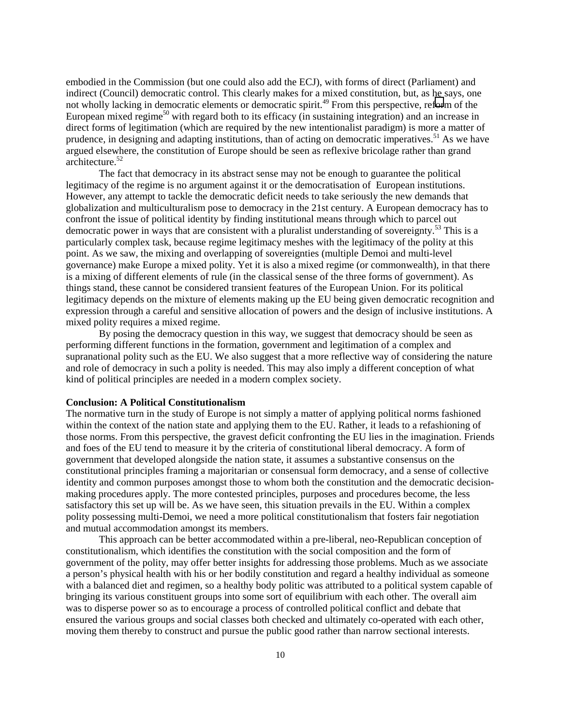embodied in the Commission (but one could also add the ECJ), with forms of direct (Parliament) and indirect (Council) democratic control. This clearly makes for a mixed constitution, but, as he says, one not wholly lacking in democratic elements or democratic spirit.<sup>49</sup> From this perspective, re[for](#page-11-0)m of the European mixed regime<sup>50</sup> with regard both to its efficacy (in sustaining integration) and an increase in direct forms of legitimation (which are required by the new intentionalist paradigm) is more a matter of prudence, in designing and adapting institutions, than of acting on democratic imperatives.<sup>51</sup> As we have argued elsewhere, the constitution of Europe should be seen as reflexive bricolage rather than grand architecture.52

The fact that democracy in its abstract sense may not be enough to guarantee the political legitimacy of the regime is no argument against it or the democratisation of European institutions. However, any attempt to tackle the democratic deficit needs to take seriously the new demands that globalization and multiculturalism pose to democracy in the 21st century. A European democracy has to confront the issue of political identity by finding institutional means through which to parcel out democratic power in ways that are consistent with a pluralist understanding of sovereignty.<sup>53</sup> This is a particularly complex task, because regime legitimacy meshes with the legitimacy of the polity at this point. As we saw, the mixing and overlapping of sovereignties (multiple Demoi and multi-level governance) make Europe a mixed polity. Yet it is also a mixed regime (or commonwealth), in that there is a mixing of different elements of rule (in the classical sense of the three forms of government). As things stand, these cannot be considered transient features of the European Union. For its political legitimacy depends on the mixture of elements making up the EU being given democratic recognition and expression through a careful and sensitive allocation of powers and the design of inclusive institutions. A mixed polity requires a mixed regime.

By posing the democracy question in this way, we suggest that democracy should be seen as performing different functions in the formation, government and legitimation of a complex and supranational polity such as the EU. We also suggest that a more reflective way of considering the nature and role of democracy in such a polity is needed. This may also imply a different conception of what kind of political principles are needed in a modern complex society.

#### **Conclusion: A Political Constitutionalism**

The normative turn in the study of Europe is not simply a matter of applying political norms fashioned within the context of the nation state and applying them to the EU. Rather, it leads to a refashioning of those norms. From this perspective, the gravest deficit confronting the EU lies in the imagination. Friends and foes of the EU tend to measure it by the criteria of constitutional liberal democracy. A form of government that developed alongside the nation state, it assumes a substantive consensus on the constitutional principles framing a majoritarian or consensual form democracy, and a sense of collective identity and common purposes amongst those to whom both the constitution and the democratic decisionmaking procedures apply. The more contested principles, purposes and procedures become, the less satisfactory this set up will be. As we have seen, this situation prevails in the EU. Within a complex polity possessing multi-Demoi, we need a more political constitutionalism that fosters fair negotiation and mutual accommodation amongst its members.

This approach can be better accommodated within a pre-liberal, neo-Republican conception of constitutionalism, which identifies the constitution with the social composition and the form of government of the polity, may offer better insights for addressing those problems. Much as we associate a person's physical health with his or her bodily constitution and regard a healthy individual as someone with a balanced diet and regimen, so a healthy body politic was attributed to a political system capable of bringing its various constituent groups into some sort of equilibrium with each other. The overall aim was to disperse power so as to encourage a process of controlled political conflict and debate that ensured the various groups and social classes both checked and ultimately co-operated with each other, moving them thereby to construct and pursue the public good rather than narrow sectional interests.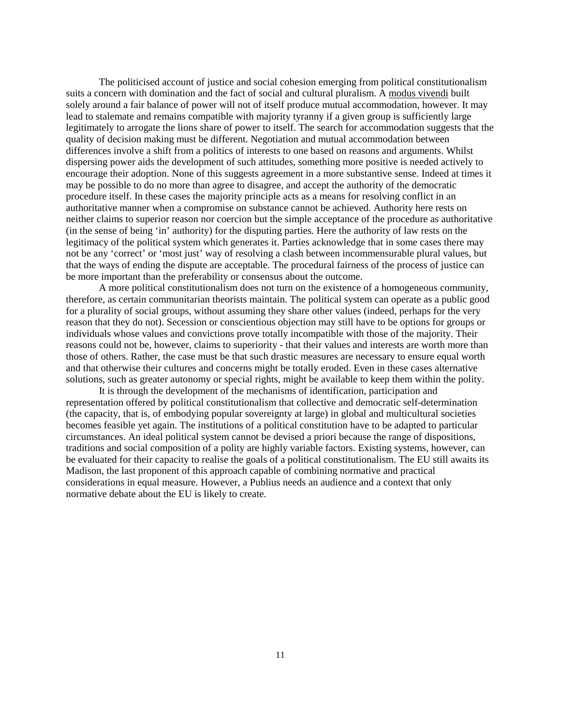The politicised account of justice and social cohesion emerging from political constitutionalism suits a concern with domination and the fact of social and cultural pluralism. A modus vivendi built solely around a fair balance of power will not of itself produce mutual accommodation, however. It may lead to stalemate and remains compatible with majority tyranny if a given group is sufficiently large legitimately to arrogate the lions share of power to itself. The search for accommodation suggests that the quality of decision making must be different. Negotiation and mutual accommodation between differences involve a shift from a politics of interests to one based on reasons and arguments. Whilst dispersing power aids the development of such attitudes, something more positive is needed actively to encourage their adoption. None of this suggests agreement in a more substantive sense. Indeed at times it may be possible to do no more than agree to disagree, and accept the authority of the democratic procedure itself. In these cases the majority principle acts as a means for resolving conflict in an authoritative manner when a compromise on substance cannot be achieved. Authority here rests on neither claims to superior reason nor coercion but the simple acceptance of the procedure as authoritative (in the sense of being 'in' authority) for the disputing parties. Here the authority of law rests on the legitimacy of the political system which generates it. Parties acknowledge that in some cases there may not be any 'correct' or 'most just' way of resolving a clash between incommensurable plural values, but that the ways of ending the dispute are acceptable. The procedural fairness of the process of justice can be more important than the preferability or consensus about the outcome.

A more political constitutionalism does not turn on the existence of a homogeneous community, therefore, as certain communitarian theorists maintain. The political system can operate as a public good for a plurality of social groups, without assuming they share other values (indeed, perhaps for the very reason that they do not). Secession or conscientious objection may still have to be options for groups or individuals whose values and convictions prove totally incompatible with those of the majority. Their reasons could not be, however, claims to superiority - that their values and interests are worth more than those of others. Rather, the case must be that such drastic measures are necessary to ensure equal worth and that otherwise their cultures and concerns might be totally eroded. Even in these cases alternative solutions, such as greater autonomy or special rights, might be available to keep them within the polity.

It is through the development of the mechanisms of identification, participation and representation offered by political constitutionalism that collective and democratic self-determination (the capacity, that is, of embodying popular sovereignty at large) in global and multicultural societies becomes feasible yet again. The institutions of a political constitution have to be adapted to particular circumstances. An ideal political system cannot be devised a priori because the range of dispositions, traditions and social composition of a polity are highly variable factors. Existing systems, however, can be evaluated for their capacity to realise the goals of a political constitutionalism. The EU still awaits its Madison, the last proponent of this approach capable of combining normative and practical considerations in equal measure. However, a Publius needs an audience and a context that only normative debate about the EU is likely to create.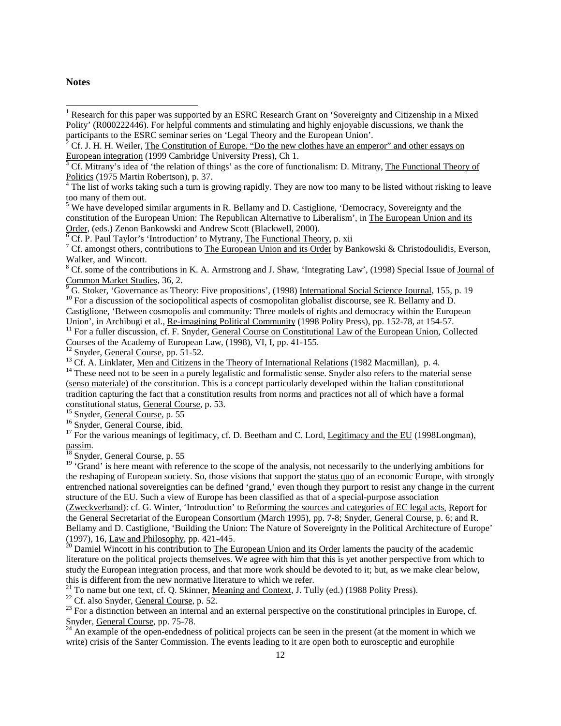#### <span id="page-11-0"></span>**Notes**

 $\overline{\phantom{a}}$ 

too many of them out.<br><sup>5</sup> We have developed similar arguments in R. Bellamy and D. Castiglione, 'Democracy, Sovereignty and the constitution of the European Union: The Republican Alternative to Liberalism', in The European Union and its Order, (eds.) Zenon Bankowski and Andrew Scott (Blackwell, 2000).

 $6$  Cf. P. Paul Taylor's 'Introduction' to Mytrany, The Functional Theory, p. xii

<sup>7</sup> Cf. amongst others, contributions to The European Union and its Order by Bankowski & Christodoulidis, Everson, Walker, and Wincott.

 $8$  Cf. some of the contributions in K. A. Armstrong and J. Shaw, 'Integrating Law', (1998) Special Issue of Journal of Common Market Studies, 36, 2.

 G. Stoker, 'Governance as Theory: Five propositions', (1998) International Social Science Journal, 155, p. 19 <sup>10</sup> For a discussion of the sociopolitical aspects of cosmopolitan globalist discourse, see R. Bellamy and D. Castiglione, 'Between cosmopolis and community: Three models of rights and democracy within the European Union', in Archibugi et al., Re-imagining Political Community (1998 Polity Press), pp. 152-78, at 154-57.

<sup>11</sup> For a fuller discussion, cf. F. Snyder, General Course on Constitutional Law of the European Union, Collected Courses of the Academy of European Law, (1998), VI, I, pp. 41-155.

<sup>12</sup> Snyder, General Course, pp. 51-52.

<sup>13</sup> Cf. A. Linklater, Men and Citizens in the Theory of International Relations (1982 Macmillan), p. 4.

 $14$  These need not to be seen in a purely legalistic and formalistic sense. Snyder also refers to the material sense (senso materiale) of the constitution. This is a concept particularly developed within the Italian constitutional tradition capturing the fact that a constitution results from norms and practices not all of which have a formal constitutional status, General Course, p. 53.

<sup>15</sup> Snyder, General Course, p. 55

<sup>16</sup> Snyder, General Course, ibid.

 $17$  For the various meanings of legitimacy, cf. D. Beetham and C. Lord, Legitimacy and the EU (1998Longman),  $\frac{24}{18}$ .

Snyder, General Course, p. 55

<sup>19</sup> 'Grand' is here meant with reference to the scope of the analysis, not necessarily to the underlying ambitions for the reshaping of European society. So, those visions that support the status quo of an economic Europe, with strongly entrenched national sovereignties can be defined 'grand,' even though they purport to resist any change in the current structure of the EU. Such a view of Europe has been classified as that of a special-purpose association (Zweckverband): cf. G. Winter, 'Introduction' to Reforming the sources and categories of EC legal acts, Report for

the General Secretariat of the European Consortium (March 1995), pp. 7-8; Snyder, General Course, p. 6; and R. Bellamy and D. Castiglione, 'Building the Union: The Nature of Sovereignty in the Political Architecture of Europe' (1997), 16, Law and Philosophy, pp. 421-445.

 $^{20}$  Damiel Wincott in his contribution to The European Union and its Order laments the paucity of the academic literature on the political projects themselves. We agree with him that this is yet another perspective from which to study the European integration process, and that more work should be devoted to it; but, as we make clear below, this is different from the new normative literature to which we refer.

 $21$  To name but one text, cf. Q. Skinner, Meaning and Context, J. Tully (ed.) (1988 Polity Press).

 $22$  Cf. also Snyder, General Course, p. 52.

<sup>23</sup> For a distinction between an internal and an external perspective on the constitutional principles in Europe, cf. Snyder, General Course, pp. 75-78.

 $24$  An example of the open-endedness of political projects can be seen in the present (at the moment in which we write) crisis of the Santer Commission. The events leading to it are open both to eurosceptic and europhile

<sup>&</sup>lt;sup>1</sup> Research for this paper was supported by an ESRC Research Grant on 'Sovereignty and Citizenship in a Mixed Polity' (R000222446). For helpful comments and stimulating and highly enjoyable discussions, we thank the participants to the ESRC seminar series on 'Legal Theory and the European Union'.

 $\overline{c}$  Cf. J. H. H. Weiler, The Constitution of Europe. "Do the new clothes have an emperor" and other essays on European integration (1999 Cambridge University Press), Ch 1.

<sup>&</sup>lt;sup>3</sup> Cf. Mitrany's idea of 'the relation of things' as the core of functionalism: D. Mitrany, The Functional Theory of Politics (1975 Martin Robertson), p. 37.

 $4$  The list of works taking such a turn is growing rapidly. They are now too many to be listed without risking to leave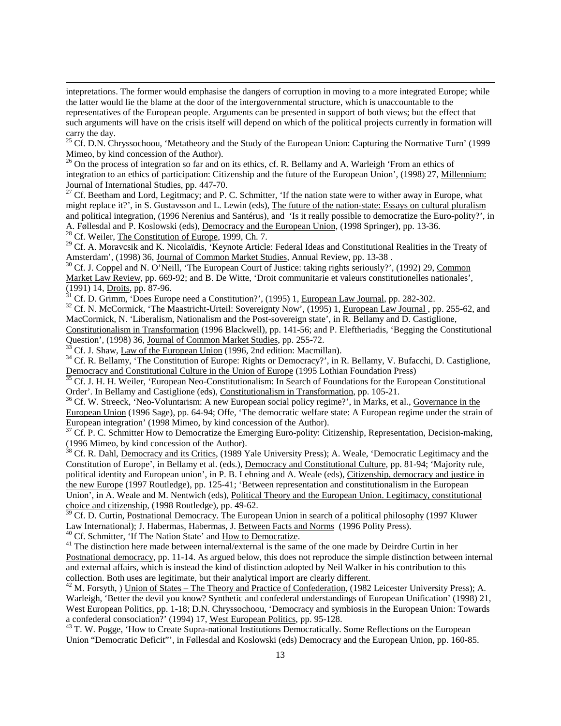intepretations. The former would emphasise the dangers of corruption in moving to a more integrated Europe; while the latter would lie the blame at the door of the intergovernmental structure, which is unaccountable to the representatives of the European people. Arguments can be presented in support of both views; but the effect that such arguments will have on the crisis itself will depend on which of the political projects currently in formation will carry the day.

<sup>25</sup> Cf. D.N. Chryssochoou, 'Metatheory and the Study of the European Union: Capturing the Normative Turn' (1999 Mimeo, by kind concession of the Author).

 $^{26}$  On the process of integration so far and on its ethics, cf. R. Bellamy and A. Warleigh 'From an ethics of integration to an ethics of participation: Citizenship and the future of the European Union', (1998) 27, Millennium: Journal of International Studies, pp. 447-70.

 $^{27}$  Cf. Beetham and Lord, Legitmacy; and P. C. Schmitter, 'If the nation state were to wither away in Europe, what might replace it?', in S. Gustavsson and L. Lewin (eds), The future of the nation-state: Essays on cultural pluralism and political integration, (1996 Nerenius and Santérus), and 'Is it really possible to democratize the Euro-polity?', in A. Føllesdal and P. Koslowski (eds), Democracy and the European Union, (1998 Springer), pp. 13-36.

<sup>28</sup> Cf. Weiler, The Constitution of Europe, 1999, Ch. 7.

 $\overline{a}$ 

<sup>29</sup> Cf. A. Moravcsik and K. Nicolaïdis, 'Keynote Article: Federal Ideas and Constitutional Realities in the Treaty of Amsterdam', (1998) 36, Journal of Common Market Studies, Annual Review, pp. 13-38 .<br><sup>30</sup> Cf. J. Coppel and N. O'Neill, 'The European Court of Justice: taking rights seriously?', (1992) 29, Common

Market Law Review, pp. 669-92; and B. De Witte, 'Droit communitarie et valeurs constitutionelles nationales', (1991) 14, Droits, pp. 87-96.

 $31$  Cf. D. Grimm, 'Does Europe need a Constitution?', (1995) 1, European Law Journal, pp. 282-302.

 $32$  Cf. N. McCormick, 'The Maastricht-Urteil: Sovereignty Now', (1995) 1, European Law Journal, pp. 255-62, and MacCormick, N. 'Liberalism, Nationalism and the Post-sovereign state', in R. Bellamy and D. Castiglione,

Constitutionalism in Transformation (1996 Blackwell), pp. 141-56; and P. Eleftheriadis, 'Begging the Constitutional Question', (1998) 36, Journal of Common Market Studies, pp. 255-72.

Cf. J. Shaw, Law of the European Union (1996, 2nd edition: Macmillan).

34 Cf. R. Bellamy, 'The Constitution of Europe: Rights or Democracy?', in R. Bellamy, V. Bufacchi, D. Castiglione, Democracy and Constitutional Culture in the Union of Europe (1995 Lothian Foundation Press)

<sup>35</sup> Cf. J. H. H. Weiler, 'European Neo-Constitutionalism: In Search of Foundations for the European Constitutional Order'. In Bellamy and Castiglione (eds), Constitutionalism in Transformation, pp. 105-21.

<sup>36</sup> Cf. W. Streeck, 'Neo-Voluntarism: A new European social policy regime?', in Marks, et al., Governance in the European Union (1996 Sage), pp. 64-94; Offe, 'The democratic welfare state: A European regime under the strain of European integration' (1998 Mimeo, by kind concession of the Author).

<sup>37</sup> Cf. P. C. Schmitter How to Democratize the Emerging Euro-polity: Citizenship, Representation, Decision-making, (1996 Mimeo, by kind concession of the Author).

 $38$  Cf. R. Dahl, Democracy and its Critics, (1989 Yale University Press); A. Weale, 'Democratic Legitimacy and the Constitution of Europe', in Bellamy et al. (eds.), Democracy and Constitutional Culture, pp. 81-94; 'Majority rule, political identity and European union', in P. B. Lehning and A. Weale (eds), Citizenship, democracy and justice in the new Europe (1997 Routledge), pp. 125-41; 'Between representation and constitutionalism in the European Union', in A. Weale and M. Nentwich (eds), Political Theory and the European Union. Legitimacy, constitutional choice and citizenship, (1998 Routledge), pp.  $49-62$ .

39 Cf. D. Curtin, Postnational Democracy. The European Union in search of a political philosophy (1997 Kluwer Law International); J. Habermas, Habermas, J. Between Facts and Norms (1996 Polity Press).

<sup>40</sup> Cf. Schmitter, 'If The Nation State' and How to Democratize.

<sup>41</sup> The distinction here made between internal/external is the same of the one made by Deirdre Curtin in her Postnational democracy, pp. 11-14. As argued below, this does not reproduce the simple distinction between internal and external affairs, which is instead the kind of distinction adopted by Neil Walker in his contribution to this collection. Both uses are legitimate, but their analytical import are clearly different.

 $^{42}$  M. Forsyth, ) Union of States – The Theory and Practice of Confederation, (1982 Leicester University Press); A. Warleigh, 'Better the devil you know? Synthetic and confederal understandings of European Unification' (1998) 21, West European Politics, pp. 1-18; D.N. Chryssochoou, 'Democracy and symbiosis in the European Union: Towards a confederal consociation?' (1994) 17, West European Politics, pp. 95-128.

<sup>43</sup> T. W. Pogge, 'How to Create Supra-national Institutions Democratically. Some Reflections on the European Union "Democratic Deficit"', in Føllesdal and Koslowski (eds) Democracy and the European Union, pp. 160-85.